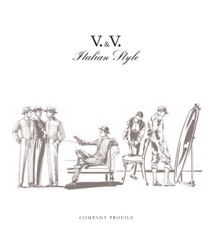

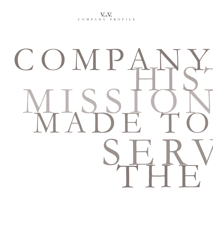# THE COMPA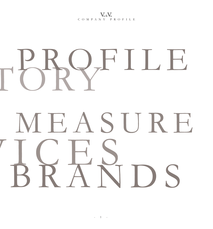## PROFILE

## MEASURE S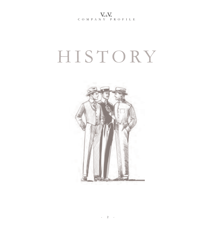## HISTORY

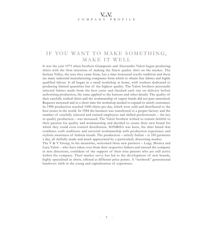#### IF YOU WANT TO MAKE SOMETHING, MAKE IT WELL

It was the year 1973 when brothers Giampaolo and Alessandro Valoti began producing shirts with the firm intention of making the finest quality shirt on the market. The Seriana Valley, the area they came from, has a time-honoured textile tradition and there are many industrial manufacturing companies from which to obtain fine fabrics and highly qualified labour. It all began in a small workshop at home, with workers dedicated to producing limited quantities but of the highest quality. The Valoti brothers personally selected fabrics made from the best yarns and checked each one on delivery before authorising production, the same applied to the buttons and other details. The quality of their carefully crafted shirts and the workmanship of expert hands did not pass unnoticed. Requests increased and in a short time the workshop needed to expand to satisfy customers. In 1980 production reached 1000 shirts per day, which were sold and distributed to the best stores in the world. In 1984 the business was transferred to a proper factory and the number of carefully selected and trained employees and skilled professionals – the key to quality production – was increased. The Valoti brothers wished to remain faithful to their passion for quality and workmanship and decided to create their own brand for which they could even control distribution. SONRISA was born, the shirt brand that combines craft traditions and sartorial workmanship with production experience and stylistic awareness of fashion trends. The production – strictly Italian – is 350 garments a day, all skilfully made and much appreciated by a particularly discerning market.

The V & V Group, in the meantime, welcomed three new partners – Luigi, Monica and Luca Valoti – who have taken over from their respective fathers and steered the company in new directions, confident of the support of their wise parents who are still active within the company. Their market savvy has led to the development of new brands, highly specialised in shirts, offered at different price points. A "textbook" generational handover: faith in the young and capitalisation of experience.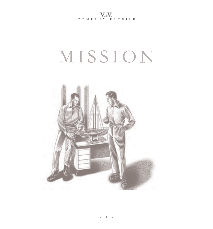## MISSION

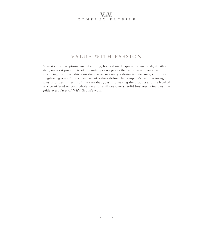#### V. s.V. COMPANY PROFILE

#### VALUE WITH PASSION

A passion for exceptional manufacturing, focused on the quality of materials, details and style, makes it possible to offer contemporary pieces that are always innovative. Producing the finest shirts on the market to satisfy a desire for elegance, comfort and long-lasting wear. This strong set of values define the company's manufacturing and sales priorities, in terms of the care that goes into making the product and the level of service offered to both wholesale and retail customers. Solid business principles that guide every facet of V&V Group's work.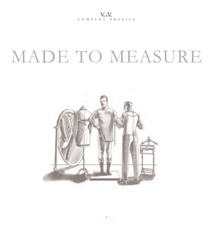## MADE TO MEASURE

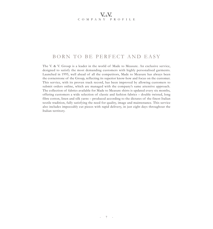#### BORN TO BE PERFECT AND EASY

The V. & V. Group is a leader in the world of Made to Measure. An exclusive service, designed to satisfy the most demanding customers with highly personalised garments. Launched in 1995, well ahead of all the competitors, Made to Measure has always been the cornerstone of the Group, reflecting its superior know-how and focus on the customer. This service, with its proven track record, has been improved by allowing customers to submit orders online, which are managed with the company's same attentive approach. The collection of fabrics available for Made to Measure shirts is updated every six months, offering customers a wide selection of classic and fashion fabrics – double twisted, long fibre cotton, linen and silk yarns – produced according to the dictates of the finest Italian textile tradition, fully satisfying the need for quality, image and maintenance. This service also includes impeccably cut pieces with rapid delivery, in just eight days throughout the Italian territory.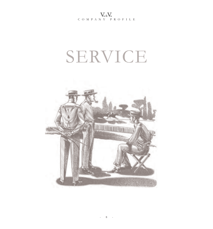## SERVICE

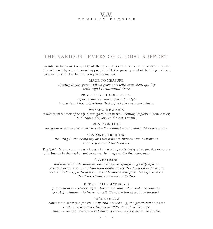#### V.s.V. COMPANY PROFILE

#### THE VARIOUS LEVERS OF GLOBAL SUPPORT

An intense focus on the quality of the product is combined with impeccable service. Characterised by a professional approach, with the primary goal of building a strong partnership with the client to conquer the market.

> MADE TO MEASURE offering highly personalised garments with consistent quality with rapid turnaround times

PRIVATE LABEL COLLECTION expert tailoring and impeccable style to create ad hoc collections that reflect the customer's taste.

#### WAREHOUSE STOCK

a substantial stock of ready-made garments make inventory replenishment easier, with rapid delivery to the sales point.

#### STOCK ON LINE

designed to allow customers to submit replenishment orders, 24 hours a day.

#### CUSTOMER TRAINING

training in the company or sales point to improve the customer's knowledge about the product.

The V.&V. Group continuously invests in marketing tools designed to provide exposure to its brands in the market and to convey its image to the final consumer:

#### ADVERTISING

national and international advertising campaigns regularly appear in major news, men's and financial publications. The press office promotes new collections, participation in trade shows and provides information about the Group's business activities.

#### RETAIL SALES MATERIALS

practical tools - window signs, brochures, illustrated books, accessories for shop windows - to increase visibility of the brand and the product.

#### TRADE SHOWS

considered strategic for visibility and networking, the group participates in the two annual editions of "Pitti Uomo" in Florence and several international exhibitions including Premium in Berlin.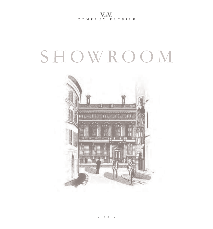## SHOWROOM

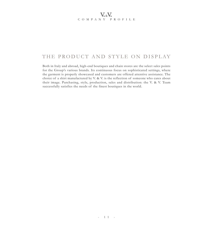#### THE PRODUCT AND STYLE ON DISPLAY

Both in Italy and abroad, high-end boutiques and chain stores are the select sales points for the Group's various brands. Its continuous focus on sophisticated settings, where the garment is properly showcased and customers are offered attentive assistance. The choice of a shirt manufactured by V. & V. is the reflection of someone who cares about their image. Purchasing, style, production, sales and distribution: the V. & V. Team successfully satisfies the needs of the finest boutiques in the world.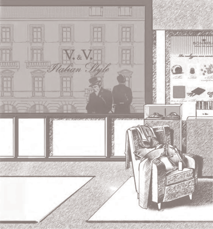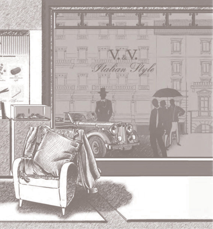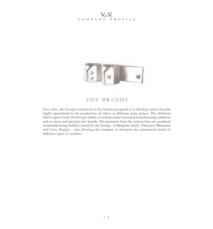#### V.&V. COMPANY PROFILE



#### THE BRANDS

Over time, the Group's sensitivity to the market prompted it to develop various brands, highly specialised in the production of shirts at different price points. The different labels express both the Group's ability to embrace time-honoured manufacturing traditions and to create and develop new brands. The garments from the various lines are produced in manufacturing facilities owned by the Group – in Bergamo (Italy), Timisoara (Romania) and Cairo (Egypt) – also allowing the company to interpret the commercial needs of different types of retailers.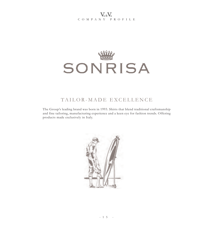

#### TAILOR-MADE EXCELLENCE

The Group's leading brand was born in 1993. Shirts that blend traditional craftsmanship and fine tailoring, manufacturing experience and a keen eye for fashion trends. Offering products made exclusively in Italy.

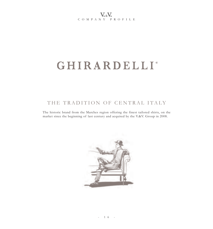### GHIRARDELLI\*

#### THE TRADITION OF CENTRAL ITALY

The historic brand from the Marches region offering the finest tailored shirts, on the market since the beginning of last century and acquired by the V.&V. Group in 2008.

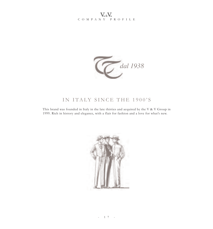

#### IN ITALY SINCE THE 1900'S

This brand was founded in Italy in the late thirties and acquired by the V & V Group in 1999. Rich in history and elegance, with a flair for fashion and a love for what's new.

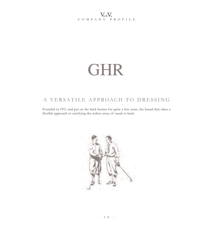### GHR

#### A VERSATILE APPROACH TO DRESSING

Founded in 1911 and put on the back burner for quite a few years, the brand that takes a flexible approach to satisfying the widest array of needs is back.

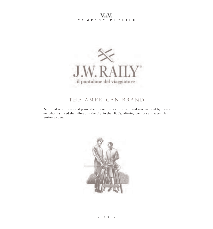

#### THE AMERICAN BRAND

Dedicated to trousers and jeans, the unique history of this brand was inspired by travellers who first used the railroad in the U.S. in the 1800's, offering comfort and a stylish attention to detail.

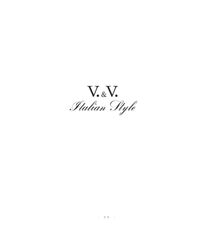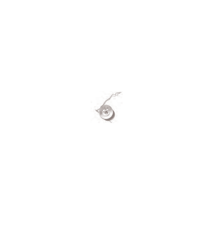